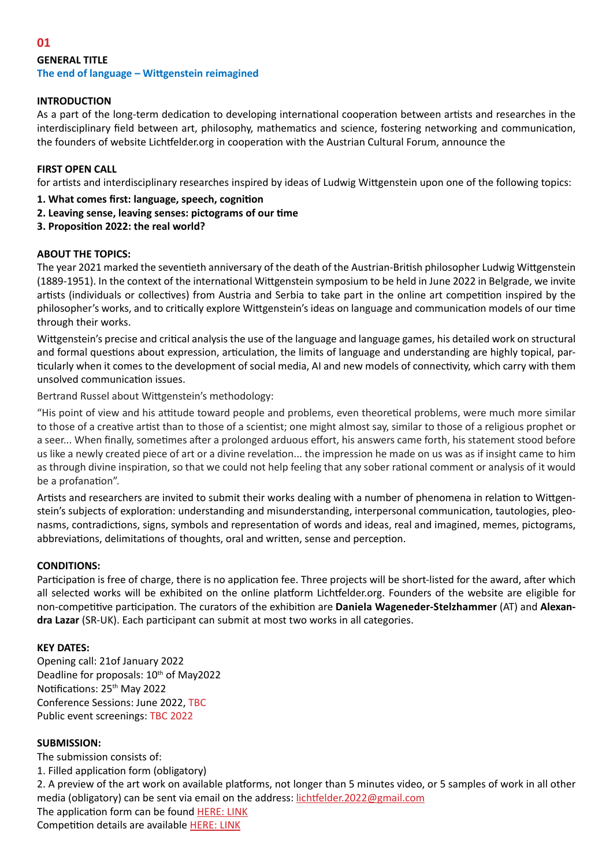# **01**

# **GENERAL TITLE The end of language – Wittgenstein reimagined**

# **INTRODUCTION**

As a part of the long-term dedication to developing international cooperation between artists and researches in the interdisciplinary field between art, philosophy, mathematics and science, fostering networking and communication, the founders of website Lichtfelder.org in cooperation with the Austrian Cultural Forum, announce the

### **FIRST OPEN CALL**

for artists and interdisciplinary researches inspired by ideas of Ludwig Wittgenstein upon one of the following topics:

- **1. What comes first: language, speech, cognition**
- **2. Leaving sense, leaving senses: pictograms of our time**
- **3. Proposition 2022: the real world?**

### **ABOUT THE TOPICS:**

The year 2021 marked the seventieth anniversary of the death of the Austrian-British philosopher Ludwig Wittgenstein (1889-1951). In the context of the international Wittgenstein symposium to be held in June 2022 in Belgrade, we invite artists (individuals or collectives) from Austria and Serbia to take part in the online art competition inspired by the philosopher's works, and to critically explore Wittgenstein's ideas on language and communication models of our time through their works.

Wittgenstein's precise and critical analysis the use of the language and language games, his detailed work on structural and formal questions about expression, articulation, the limits of language and understanding are highly topical, particularly when it comes to the development of social media, AI and new models of connectivity, which carry with them unsolved communication issues.

Bertrand Russel about Wittgenstein's methodology:

"His point of view and his attitude toward people and problems, even theoretical problems, were much more similar to those of a creative artist than to those of a scientist; one might almost say, similar to those of a religious prophet or a seer... When finally, sometimes after a prolonged arduous effort, his answers came forth, his statement stood before us like a newly created piece of art or a divine revelation... the impression he made on us was as if insight came to him as through divine inspiration, so that we could not help feeling that any sober rational comment or analysis of it would be a profanation".

Artists and researchers are invited to submit their works dealing with a number of phenomena in relation to Wittgenstein's subjects of exploration: understanding and misunderstanding, interpersonal communication, tautologies, pleonasms, contradictions, signs, symbols and representation of words and ideas, real and imagined, memes, pictograms, abbreviations, delimitations of thoughts, oral and written, sense and perception.

#### **CONDITIONS:**

Participation is free of charge, there is no application fee. Three projects will be short-listed for the award, after which all selected works will be exhibited on the online platform Lichtfelder.org. Founders of the website are eligible for non-competitive participation. The curators of the exhibition are **Daniela Wageneder-Stelzhammer** (AT) and **Alexandra Lazar** (SR-UK). Each participant can submit at most two works in all categories.

#### **KEY DATES:**

Opening call: 21of January 2022 Deadline for proposals: 10<sup>th</sup> of May2022 Notifications: 25th May 2022 Conference Sessions: June 2022, TBC Public event screenings: TBC 2022

#### **SUBMISSION:**

The submission consists of: 1. Filled application form (obligatory) 2. A preview of the art work on available platforms, not longer than 5 minutes video, or 5 samples of work in all other media (obligatory) can be sent via email on the address: [lichtfelder.2022@gmail.com](mailto:lichtfelder.2022%40gmail.com?subject=) The application form can be found [HERE: LINK](https://lichtfelder.org/wp-content/uploads/2022/01/ENTRY-FORM.docx) Competition details are available [HERE: LINK](https://lichtfelder.org/wp-content/uploads/2022/01/COMPLETE-OPEN-CALL-WITTGENSTEIN.pdf)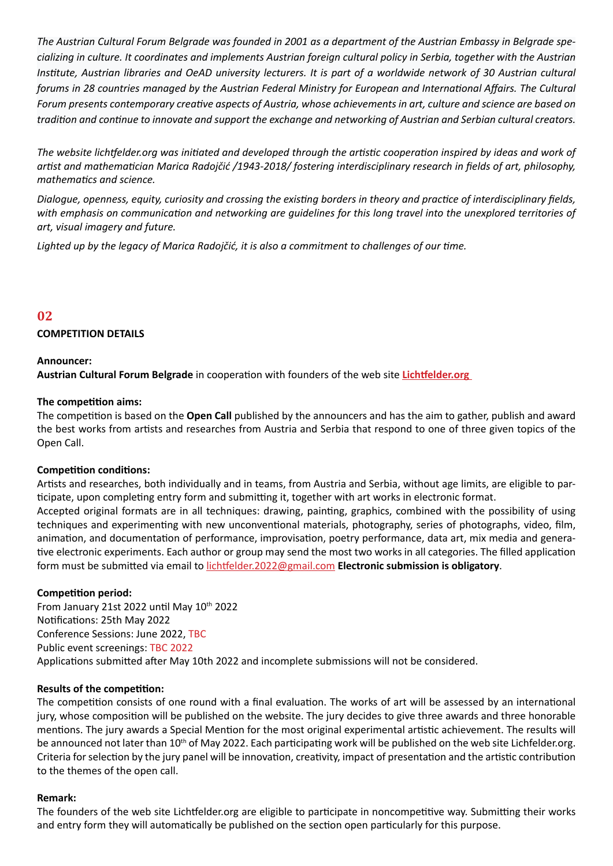*The Austrian Cultural Forum Belgrade was founded in 2001 as a department of the Austrian Embassy in Belgrade specializing in culture. It coordinates and implements Austrian foreign cultural policy in Serbia, together with the Austrian Institute, Austrian libraries and OeAD university lecturers. It is part of a worldwide network of 30 Austrian cultural forums in 28 countries managed by the Austrian Federal Ministry for European and International Affairs. The Cultural Forum presents contemporary creative aspects of Austria, whose achievements in art, culture and science are based on tradition and continue to innovate and support the exchange and networking of Austrian and Serbian cultural creators.*

*The website lichtfelder.org was initiated and developed through the artistic cooperation inspired by ideas and work of artist and mathematician Marica Radojčić /1943-2018/ fostering interdisciplinary research in fields of art, philosophy, mathematics and science.*

*Dialogue, openness, equity, curiosity and crossing the existing borders in theory and practice of interdisciplinary fields, with emphasis on communication and networking are guidelines for this long travel into the unexplored territories of art, visual imagery and future.*

*Lighted up by the legacy of Marica Radojčić, it is also a commitment to challenges of our time.*

# **02**

# **COMPETITION DETAILS**

### **Announcer:**

**Austrian Cultural Forum Belgrade** in cooperation with founders of the web site **[Lichtfelder.org](https://lichtfelder.org/)**

#### **The competition aims:**

The competition is based on the **Open Call** published by the announcers and has the aim to gather, publish and award the best works from artists and researches from Austria and Serbia that respond to one of three given topics of the Open Call.

#### **Competition conditions:**

Artists and researches, both individually and in teams, from Austria and Serbia, without age limits, are eligible to participate, upon completing entry form and submitting it, together with art works in electronic format.

Accepted original formats are in all techniques: drawing, painting, graphics, combined with the possibility of using techniques and experimenting with new unconventional materials, photography, series of photographs, video, film, animation, and documentation of performance, improvisation, poetry performance, data art, mix media and generative electronic experiments. Each author or group may send the most two works in all categories. The filled application form must be submitted via email to [lichtfelder.2022@gmail.com](mailto:lichtfelder.2022%40gmail.com?subject=) **Electronic submission is obligatory**.

# **Competition period:**

From January 21st 2022 until May 10th 2022 Notifications: 25th May 2022 Conference Sessions: June 2022, TBC Public event screenings: TBC 2022 Applications submitted after May 10th 2022 and incomplete submissions will not be considered.

#### **Results of the competition:**

The competition consists of one round with a final evaluation. The works of art will be assessed by an international jury, whose composition will be published on the website. The jury decides to give three awards and three honorable mentions. The jury awards a Special Mention for the most original experimental artistic achievement. The results will be announced not later than 10<sup>th</sup> of May 2022. Each participating work will be published on the web site Lichfelder.org. Criteria for selection by the jury panel will be innovation, creativity, impact of presentation and the artistic contribution to the themes of the open call.

#### **Remark:**

The founders of the web site Lichtfelder.org are eligible to participate in noncompetitive way. Submitting their works and entry form they will automatically be published on the section open particularly for this purpose.